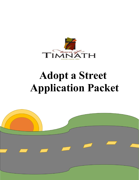

# **Adopt a Street Application Packet**

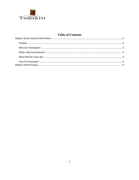

# **Table of Contents**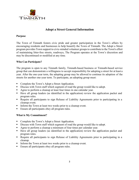

### **Adopt a Street General Information**

#### <span id="page-2-1"></span><span id="page-2-0"></span>**Purpose**

The Town of Timnath fosters civic pride and greater participation in the Town's affairs by encouraging residents and businesses to help beautify the Town of Timnath. The Adopt a Street program provides Town support to civic-minded volunteer groups to contribute to the Town's effort of maintaining litter-free streets, roadways, The Program operates at the Town's discretion and may be discontinued or modified at any time.

#### <span id="page-2-2"></span>**Who Can Participate?**

The program is open to any Timnath family, Timnath-based business or Timnath-based service group that can demonstrate a willingness to accept responsibility for adopting a street for at least a year. After the one-year term, the adopting group may be allowed to continue its adoption of the streets for another one-year term. To participate, an adopting group must:

- Complete the Town's Adopt a Street Application.
- Discuss with Town staff which segment of road the group would like to adopt.
- Agree to perform a cleanup at least four times in one calendar year.
- Have all group leaders (as identified in the application) review the application packet and program rules.
- Require all participants to sign Release of Liability Agreements prior to participating in a cleanup event.
- Inform the Town at least two weeks prior to a cleanup event.
- Ensure all participants obey all program rules.

#### <span id="page-2-3"></span>**What is My Commitment?**

- Complete the Town's Adopt a Street Application.
- Discuss with Town staff which segment of road the group would like to adopt.
- Agree to perform a cleanup a minimum of four times per calendar year.
- Have all group leaders (as identified in the application) review the application packet and program rules.
- Require all participants to sign Release of Liability Agreements prior to participating in a cleanup.
- Inform the Town at least two weeks prior to a cleanup event.
- Ensure all participants obey all program rules.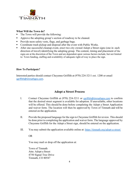

#### <span id="page-3-0"></span>**What Will the Town do?**

- The Town will provide the following:
- Approve the adopting group's section of roadway to be cleaned.
- Provide neon safety vests, flags, and garbage bags.
- Coordinate trash pickup and disposal after the event with Public Works.
- After one successful cleanup event, erect two city owned Adopt a Street signs (one in each direction of travel) identifying the adopting group. The content, timing and placement of the signs are at the discretion of the Town and are dependent upon various factors include, but not limited to: Town funding, staffing and availability of adequate right-of-way to place the sign.

#### <span id="page-3-1"></span>**How To Participate?**

Interested parties should contact Cheyenne Griffith at (970) 224-3211 ext. 1200 or email [cgriffith@timnathgov.com](mailto:cgriffith@timnathgov.com).

## **Adopt a Street Process**

- <span id="page-3-2"></span>I. Contact Cheyenne Griffith at (970) 224-3211 or [cgriffith@timnathgov.com](mailto:cgriffith@timnathgov.com) to confirm that the desired street segment is available for adoption. If unavailable, other locations will be offered. This should be done before completing the Adopt a Street Application and waiver form. The location will then be approved by Town of Timnath and will be entered on the application.
- II. Provide the proposed language for the sign to Cheyenne Griffith for review. This should be done prior to completing the application and waiver form. The language approved by Cheyenne Griffith for the Adopt a Street sign, should be entered on the application.
- III. You may submit the application available online at: https://timnath.org/adopt-a-street/

OR

You may mail or drop off the application at:

Town of Timnath Attn: Adopt a Street 4750 Signal Tree Drive Timnath, CO 80547